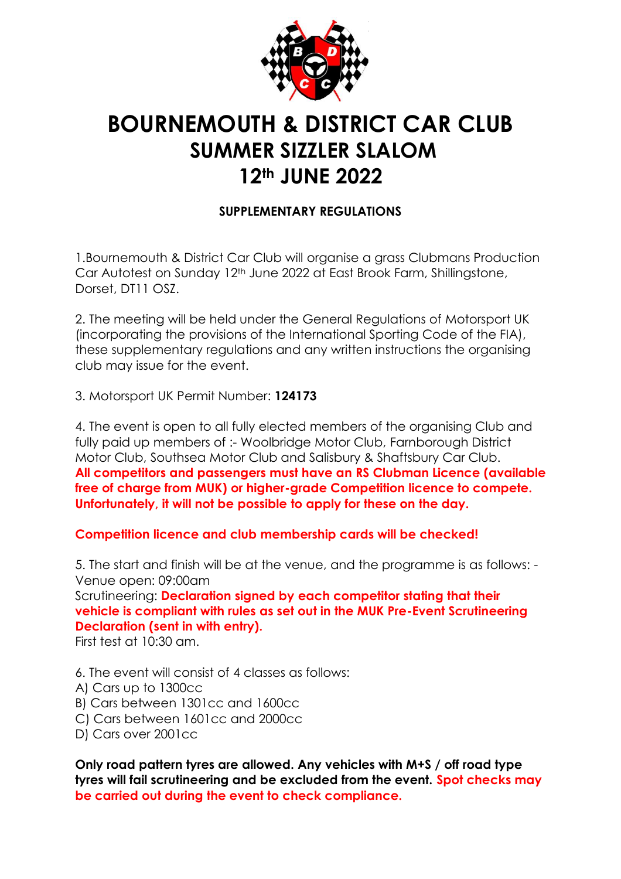

# **BOURNEMOUTH & DISTRICT CAR CLUB SUMMER SIZZLER SLALOM 12th JUNE 2022**

# **SUPPLEMENTARY REGULATIONS**

1.Bournemouth & District Car Club will organise a grass Clubmans Production Car Autotest on Sunday 12th June 2022 at East Brook Farm, Shillingstone, Dorset, DT11 OSZ.

2. The meeting will be held under the General Regulations of Motorsport UK (incorporating the provisions of the International Sporting Code of the FIA), these supplementary regulations and any written instructions the organising club may issue for the event.

3. Motorsport UK Permit Number: **124173**

4. The event is open to all fully elected members of the organising Club and fully paid up members of :- Woolbridge Motor Club, Farnborough District Motor Club, Southsea Motor Club and Salisbury & Shaftsbury Car Club. **All competitors and passengers must have an RS Clubman Licence (available free of charge from MUK) or higher-grade Competition licence to compete. Unfortunately, it will not be possible to apply for these on the day.**

**Competition licence and club membership cards will be checked!**

5. The start and finish will be at the venue, and the programme is as follows: - Venue open: 09:00am

Scrutineering: **Declaration signed by each competitor stating that their vehicle is compliant with rules as set out in the MUK Pre-Event Scrutineering Declaration (sent in with entry).**

First test at 10:30 am.

6. The event will consist of 4 classes as follows:

- A) Cars up to 1300cc
- B) Cars between 1301cc and 1600cc
- C) Cars between 1601cc and 2000cc
- D) Cars over 2001cc

**Only road pattern tyres are allowed. Any vehicles with M+S / off road type tyres will fail scrutineering and be excluded from the event. Spot checks may be carried out during the event to check compliance.**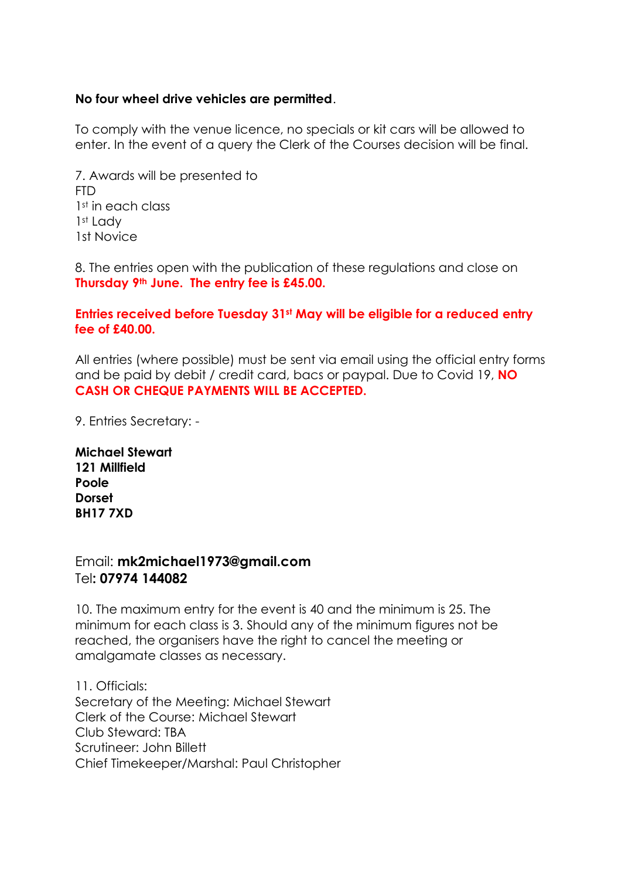### **No four wheel drive vehicles are permitted**.

To comply with the venue licence, no specials or kit cars will be allowed to enter. In the event of a query the Clerk of the Courses decision will be final.

7. Awards will be presented to FTD 1<sup>st</sup> in each class 1<sup>st</sup> Lady 1st Novice

8. The entries open with the publication of these regulations and close on **Thursday 9th June. The entry fee is £45.00.**

#### **Entries received before Tuesday 31st May will be eligible for a reduced entry fee of £40.00.**

All entries (where possible) must be sent via email using the official entry forms and be paid by debit / credit card, bacs or paypal. Due to Covid 19, **NO CASH OR CHEQUE PAYMENTS WILL BE ACCEPTED.**

9. Entries Secretary: -

**Michael Stewart 121 Millfield Poole Dorset BH17 7XD**

## Email: **mk2michael1973@gmail.com** Tel**: 07974 144082**

10. The maximum entry for the event is 40 and the minimum is 25. The minimum for each class is 3. Should any of the minimum figures not be reached, the organisers have the right to cancel the meeting or amalgamate classes as necessary.

11. Officials: Secretary of the Meeting: Michael Stewart Clerk of the Course: Michael Stewart Club Steward: TBA Scrutineer: John Billett Chief Timekeeper/Marshal: Paul Christopher